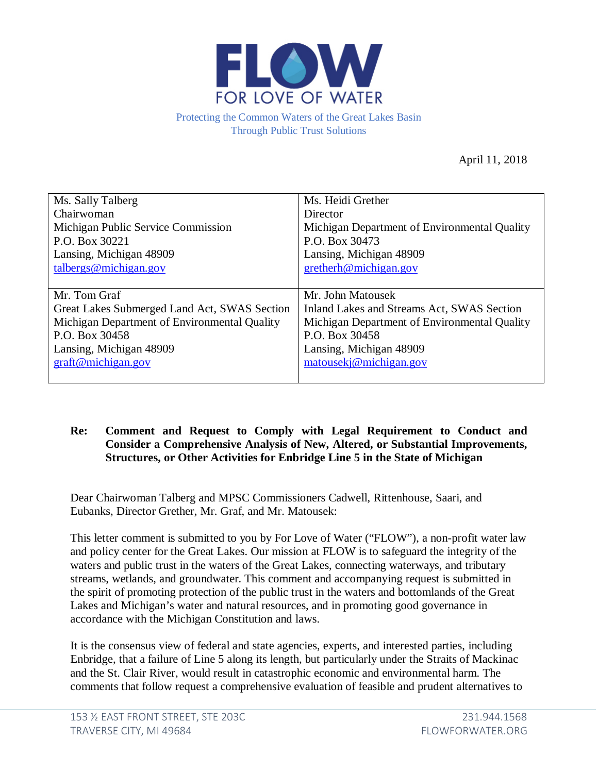

Protecting the Common Waters of the Great Lakes Basin Through Public Trust Solutions

April 11, 2018

| Ms. Sally Talberg                            | Ms. Heidi Grether                            |
|----------------------------------------------|----------------------------------------------|
| Chairwoman                                   | Director                                     |
| Michigan Public Service Commission           | Michigan Department of Environmental Quality |
| P.O. Box 30221                               | P.O. Box 30473                               |
| Lansing, Michigan 48909                      | Lansing, Michigan 48909                      |
| $t$ albergs@michigan.gov                     | gretherh@michigan.gov                        |
|                                              |                                              |
| Mr. Tom Graf                                 | Mr. John Matousek                            |
| Great Lakes Submerged Land Act, SWAS Section | Inland Lakes and Streams Act, SWAS Section   |
| Michigan Department of Environmental Quality | Michigan Department of Environmental Quality |
| P.O. Box 30458                               | P.O. Box 30458                               |
|                                              |                                              |
| Lansing, Michigan 48909                      | Lansing, Michigan 48909                      |
| graff@michigan.gov                           | matousekj@michigan.gov                       |

## **Re: Comment and Request to Comply with Legal Requirement to Conduct and Consider a Comprehensive Analysis of New, Altered, or Substantial Improvements, Structures, or Other Activities for Enbridge Line 5 in the State of Michigan**

Dear Chairwoman Talberg and MPSC Commissioners Cadwell, Rittenhouse, Saari, and Eubanks, Director Grether, Mr. Graf, and Mr. Matousek:

This letter comment is submitted to you by For Love of Water ("FLOW"), a non-profit water law and policy center for the Great Lakes. Our mission at FLOW is to safeguard the integrity of the waters and public trust in the waters of the Great Lakes, connecting waterways, and tributary streams, wetlands, and groundwater. This comment and accompanying request is submitted in the spirit of promoting protection of the public trust in the waters and bottomlands of the Great Lakes and Michigan's water and natural resources, and in promoting good governance in accordance with the Michigan Constitution and laws.

It is the consensus view of federal and state agencies, experts, and interested parties, including Enbridge, that a failure of Line 5 along its length, but particularly under the Straits of Mackinac and the St. Clair River, would result in catastrophic economic and environmental harm. The comments that follow request a comprehensive evaluation of feasible and prudent alternatives to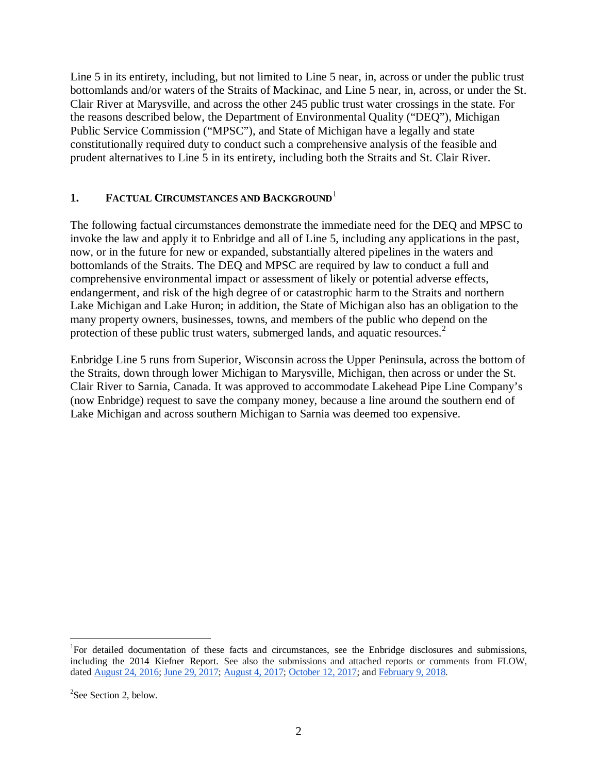Line 5 in its entirety, including, but not limited to Line 5 near, in, across or under the public trust bottomlands and/or waters of the Straits of Mackinac, and Line 5 near, in, across, or under the St. Clair River at Marysville, and across the other 245 public trust water crossings in the state. For the reasons described below, the Department of Environmental Quality ("DEQ"), Michigan Public Service Commission ("MPSC"), and State of Michigan have a legally and state constitutionally required duty to conduct such a comprehensive analysis of the feasible and prudent alternatives to Line 5 in its entirety, including both the Straits and St. Clair River.

## **[1](#page-1-0). FACTUAL CIRCUMSTANCES AND BACKGROUND**<sup>1</sup>

The following factual circumstances demonstrate the immediate need for the DEQ and MPSC to invoke the law and apply it to Enbridge and all of Line 5, including any applications in the past, now, or in the future for new or expanded, substantially altered pipelines in the waters and bottomlands of the Straits. The DEQ and MPSC are required by law to conduct a full and comprehensive environmental impact or assessment of likely or potential adverse effects, endangerment, and risk of the high degree of or catastrophic harm to the Straits and northern Lake Michigan and Lake Huron; in addition, the State of Michigan also has an obligation to the many property owners, businesses, towns, and members of the public who depend on the protection of these public trust waters, submerged lands, and aquatic resources.<sup>[2](#page-1-1)</sup>

Enbridge Line 5 runs from Superior, Wisconsin across the Upper Peninsula, across the bottom of the Straits, down through lower Michigan to Marysville, Michigan, then across or under the St. Clair River to Sarnia, Canada. It was approved to accommodate Lakehead Pipe Line Company's (now Enbridge) request to save the company money, because a line around the southern end of Lake Michigan and across southern Michigan to Sarnia was deemed too expensive.

<span id="page-1-0"></span> $\frac{1}{1}$ <sup>1</sup>For detailed documentation of these facts and circumstances, see the Enbridge disclosures and submissions, including the 2014 Kiefner Report. See also the submissions and attached reports or comments from FLOW, dated [August 24, 2016;](http://flowforwater.org/wp-content/uploads/2016/08/FLOW-8-24-16-Final-Letter-to-DEQ-USCOE-Joint-App-Enbridge-for-Supports-GLSLA-CWA.pdf) [June 29, 2017;](http://flowforwater.org/wp-content/uploads/2017/06/FINAL-2017-06-29-17-Comments-to-DEQ-USCOE-Joint-App-Enbridge-for-Supports.pdf) [August 4, 2017;](http://flowforwater.org/wp-content/uploads/2016/04/FLOW-Supplemental-Comments-to-DEQ-USCOE-Joint-App-Enbridge-for-Supports-2017.08.04-with-Appendices.pdf) [October 12, 2017;](http://flowforwater.org/wp-content/uploads/2018/02/FLOW-Supplemental-Comments-to-DEQ-USCOE-Joint-App-Enbridge-for-Supports.pdf) and [February 9, 2018.](http://flowforwater.org/wp-content/uploads/2018/02/FLOW-Supplemental-Comments-on-2017-Anchor-Permit-2018.02.09.pdf)

<span id="page-1-1"></span><sup>&</sup>lt;sup>2</sup>See Section 2, below.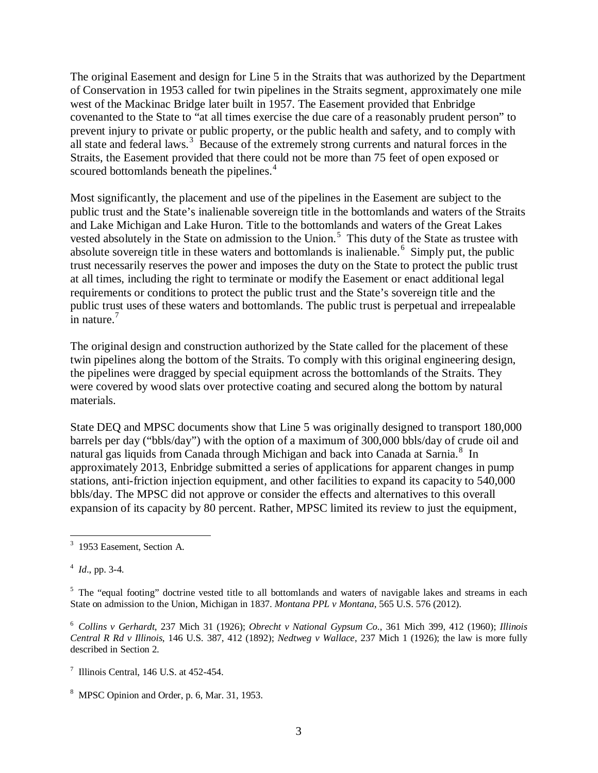The original Easement and design for Line 5 in the Straits that was authorized by the Department of Conservation in 1953 called for twin pipelines in the Straits segment, approximately one mile west of the Mackinac Bridge later built in 1957. The Easement provided that Enbridge covenanted to the State to "at all times exercise the due care of a reasonably prudent person" to prevent injury to private or public property, or the public health and safety, and to comply with all state and federal laws.<sup>[3](#page-2-0)</sup> Because of the extremely strong currents and natural forces in the Straits, the Easement provided that there could not be more than 75 feet of open exposed or scoured bottomlands beneath the pipelines.<sup>[4](#page-2-1)</sup>

Most significantly, the placement and use of the pipelines in the Easement are subject to the public trust and the State's inalienable sovereign title in the bottomlands and waters of the Straits and Lake Michigan and Lake Huron. Title to the bottomlands and waters of the Great Lakes vested absolutely in the State on admission to the Union.<sup>[5](#page-2-2)</sup> This duty of the State as trustee with absolute sovereign title in these waters and bottomlands is inalienable.<sup>[6](#page-2-3)</sup> Simply put, the public trust necessarily reserves the power and imposes the duty on the State to protect the public trust at all times, including the right to terminate or modify the Easement or enact additional legal requirements or conditions to protect the public trust and the State's sovereign title and the public trust uses of these waters and bottomlands. The public trust is perpetual and irrepealable in nature.<sup>[7](#page-2-4)</sup>

The original design and construction authorized by the State called for the placement of these twin pipelines along the bottom of the Straits. To comply with this original engineering design, the pipelines were dragged by special equipment across the bottomlands of the Straits. They were covered by wood slats over protective coating and secured along the bottom by natural materials.

State DEQ and MPSC documents show that Line 5 was originally designed to transport 180,000 barrels per day ("bbls/day") with the option of a maximum of 300,000 bbls/day of crude oil and natural gas liquids from Canada through Michigan and back into Canada at Sarnia.<sup>[8](#page-2-5)</sup> In approximately 2013, Enbridge submitted a series of applications for apparent changes in pump stations, anti-friction injection equipment, and other facilities to expand its capacity to 540,000 bbls/day. The MPSC did not approve or consider the effects and alternatives to this overall expansion of its capacity by 80 percent. Rather, MPSC limited its review to just the equipment,

<span id="page-2-0"></span> <sup>3</sup> 1953 Easement, Section A.

<span id="page-2-1"></span><sup>4</sup> *Id*., pp. 3-4.

<span id="page-2-2"></span> $<sup>5</sup>$  The "equal footing" doctrine vested title to all bottomlands and waters of navigable lakes and streams in each</sup> State on admission to the Union, Michigan in 1837. *Montana PPL v Montana*, 565 U.S. 576 (2012).

<span id="page-2-3"></span><sup>6</sup> *Collins v Gerhardt*, 237 Mich 31 (1926); *Obrecht v National Gypsum Co.*, 361 Mich 399, 412 (1960); *Illinois Central R Rd v Illinois*, 146 U.S. 387, 412 (1892); *Nedtweg v Wallace*, 237 Mich 1 (1926); the law is more fully described in Section 2.

<span id="page-2-4"></span> $^7$  Illinois Central, 146 U.S. at 452-454.

<span id="page-2-5"></span><sup>8</sup> MPSC Opinion and Order, p. 6, Mar. 31, 1953.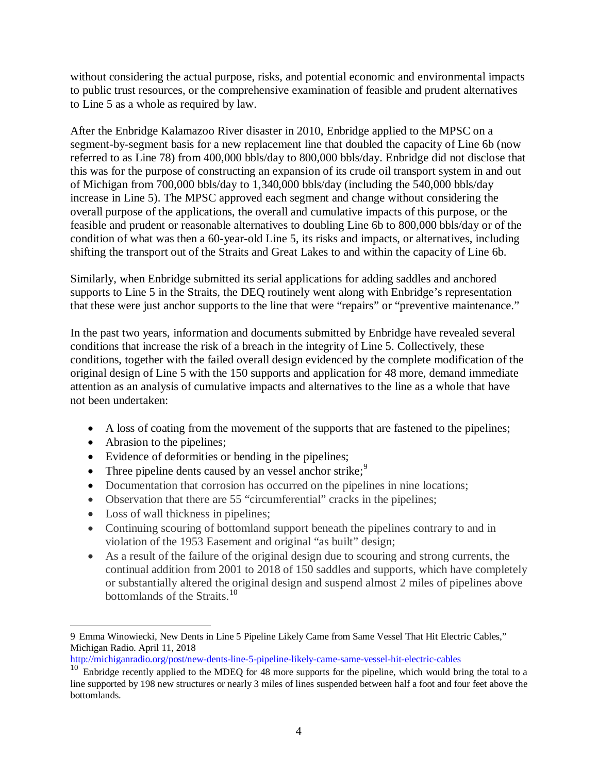without considering the actual purpose, risks, and potential economic and environmental impacts to public trust resources, or the comprehensive examination of feasible and prudent alternatives to Line 5 as a whole as required by law.

After the Enbridge Kalamazoo River disaster in 2010, Enbridge applied to the MPSC on a segment-by-segment basis for a new replacement line that doubled the capacity of Line 6b (now referred to as Line 78) from 400,000 bbls/day to 800,000 bbls/day. Enbridge did not disclose that this was for the purpose of constructing an expansion of its crude oil transport system in and out of Michigan from 700,000 bbls/day to 1,340,000 bbls/day (including the 540,000 bbls/day increase in Line 5). The MPSC approved each segment and change without considering the overall purpose of the applications, the overall and cumulative impacts of this purpose, or the feasible and prudent or reasonable alternatives to doubling Line 6b to 800,000 bbls/day or of the condition of what was then a 60-year-old Line 5, its risks and impacts, or alternatives, including shifting the transport out of the Straits and Great Lakes to and within the capacity of Line 6b.

Similarly, when Enbridge submitted its serial applications for adding saddles and anchored supports to Line 5 in the Straits, the DEQ routinely went along with Enbridge's representation that these were just anchor supports to the line that were "repairs" or "preventive maintenance."

In the past two years, information and documents submitted by Enbridge have revealed several conditions that increase the risk of a breach in the integrity of Line 5. Collectively, these conditions, together with the failed overall design evidenced by the complete modification of the original design of Line 5 with the 150 supports and application for 48 more, demand immediate attention as an analysis of cumulative impacts and alternatives to the line as a whole that have not been undertaken:

- A loss of coating from the movement of the supports that are fastened to the pipelines;
- Abrasion to the pipelines;
- Evidence of deformities or bending in the pipelines;
- Three pipeline dents caused by an vessel anchor strike;  $9^{\circ}$  $9^{\circ}$
- Documentation that corrosion has occurred on the pipelines in nine locations;
- Observation that there are 55 "circumferential" cracks in the pipelines;
- Loss of wall thickness in pipelines;
- Continuing scouring of bottomland support beneath the pipelines contrary to and in violation of the 1953 Easement and original "as built" design;
- As a result of the failure of the original design due to scouring and strong currents, the continual addition from 2001 to 2018 of 150 saddles and supports, which have completely or substantially altered the original design and suspend almost 2 miles of pipelines above bottomlands of the Straits.<sup>[10](#page-3-1)</sup>

<span id="page-3-0"></span> <sup>9</sup> Emma Winowiecki, New Dents in Line 5 Pipeline Likely Came from Same Vessel That Hit Electric Cables," Michigan Radio. April 11, 2018

<http://michiganradio.org/post/new-dents-line-5-pipeline-likely-came-same-vessel-hit-electric-cables>

<span id="page-3-1"></span> $\frac{10}{10}$  Enbridge recently applied to the MDEQ for 48 more supports for the pipeline, which would bring the total to a line supported by 198 new structures or nearly 3 miles of lines suspended between half a foot and four feet above the bottomlands.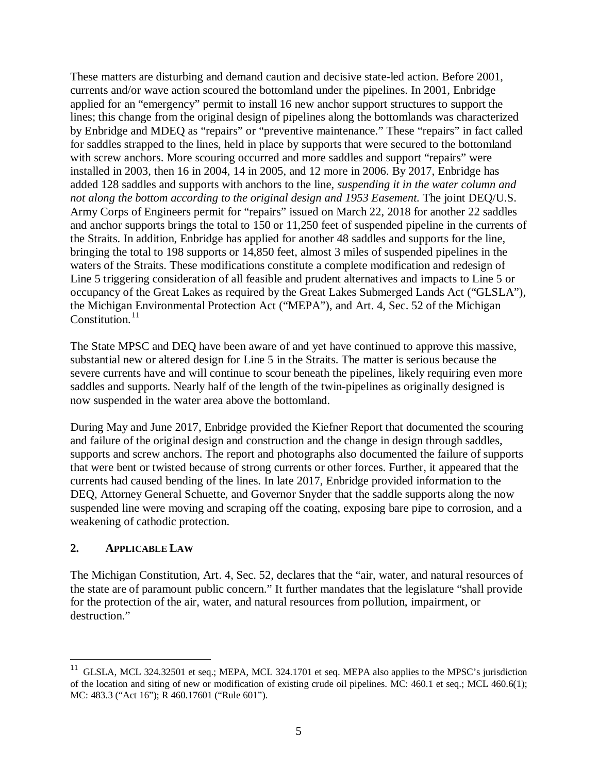These matters are disturbing and demand caution and decisive state-led action. Before 2001, currents and/or wave action scoured the bottomland under the pipelines. In 2001, Enbridge applied for an "emergency" permit to install 16 new anchor support structures to support the lines; this change from the original design of pipelines along the bottomlands was characterized by Enbridge and MDEQ as "repairs" or "preventive maintenance." These "repairs" in fact called for saddles strapped to the lines, held in place by supports that were secured to the bottomland with screw anchors. More scouring occurred and more saddles and support "repairs" were installed in 2003, then 16 in 2004, 14 in 2005, and 12 more in 2006. By 2017, Enbridge has added 128 saddles and supports with anchors to the line, *suspending it in the water column and not along the bottom according to the original design and 1953 Easement.* The joint DEQ/U.S. Army Corps of Engineers permit for "repairs" issued on March 22, 2018 for another 22 saddles and anchor supports brings the total to 150 or 11,250 feet of suspended pipeline in the currents of the Straits. In addition, Enbridge has applied for another 48 saddles and supports for the line, bringing the total to 198 supports or 14,850 feet, almost 3 miles of suspended pipelines in the waters of the Straits. These modifications constitute a complete modification and redesign of Line 5 triggering consideration of all feasible and prudent alternatives and impacts to Line 5 or occupancy of the Great Lakes as required by the Great Lakes Submerged Lands Act ("GLSLA"), the Michigan Environmental Protection Act ("MEPA"), and Art. 4, Sec. 52 of the Michigan Constitution. $11$ 

The State MPSC and DEQ have been aware of and yet have continued to approve this massive, substantial new or altered design for Line 5 in the Straits. The matter is serious because the severe currents have and will continue to scour beneath the pipelines, likely requiring even more saddles and supports. Nearly half of the length of the twin-pipelines as originally designed is now suspended in the water area above the bottomland.

During May and June 2017, Enbridge provided the Kiefner Report that documented the scouring and failure of the original design and construction and the change in design through saddles, supports and screw anchors. The report and photographs also documented the failure of supports that were bent or twisted because of strong currents or other forces. Further, it appeared that the currents had caused bending of the lines. In late 2017, Enbridge provided information to the DEQ, Attorney General Schuette, and Governor Snyder that the saddle supports along the now suspended line were moving and scraping off the coating, exposing bare pipe to corrosion, and a weakening of cathodic protection.

## **2. APPLICABLE LAW**

The Michigan Constitution, Art. 4, Sec. 52, declares that the "air, water, and natural resources of the state are of paramount public concern." It further mandates that the legislature "shall provide for the protection of the air, water, and natural resources from pollution, impairment, or destruction."

<span id="page-4-0"></span><sup>&</sup>lt;sup>11</sup> GLSLA, MCL 324.32501 et seq.; MEPA, MCL 324.1701 et seq. MEPA also applies to the MPSC's jurisdiction of the location and siting of new or modification of existing crude oil pipelines. MC: 460.1 et seq.; MCL 460.6(1); MC: 483.3 ("Act 16"); R 460.17601 ("Rule 601").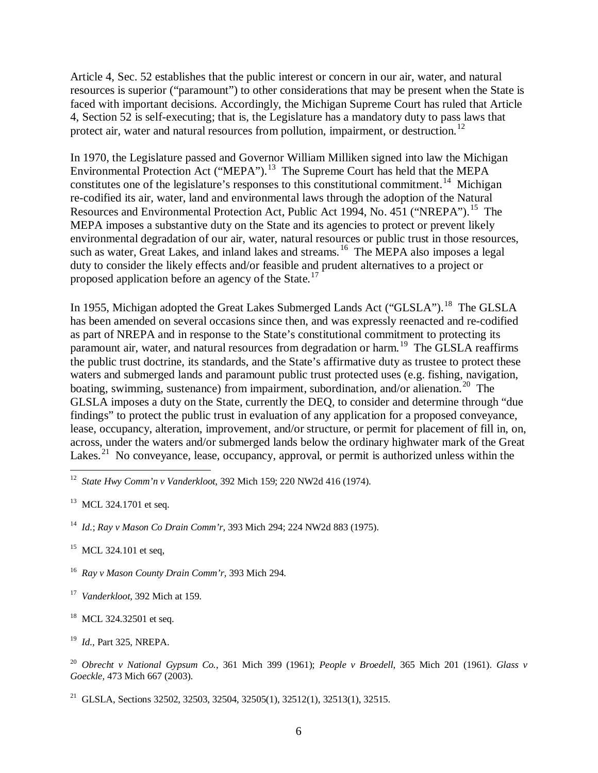Article 4, Sec. 52 establishes that the public interest or concern in our air, water, and natural resources is superior ("paramount") to other considerations that may be present when the State is faced with important decisions. Accordingly, the Michigan Supreme Court has ruled that Article 4, Section 52 is self-executing; that is, the Legislature has a mandatory duty to pass laws that protect air, water and natural resources from pollution, impairment, or destruction.<sup>[12](#page-5-0)</sup>

In 1970, the Legislature passed and Governor William Milliken signed into law the Michigan Environmental Protection Act ("MEPA").<sup>[13](#page-5-1)</sup> The Supreme Court has held that the MEPA constitutes one of the legislature's responses to this constitutional commitment.<sup>[14](#page-5-2)</sup> Michigan re-codified its air, water, land and environmental laws through the adoption of the Natural Resources and Environmental Protection Act, Public Act 1994, No. 451 ("NREPA").<sup>[15](#page-5-3)</sup> The MEPA imposes a substantive duty on the State and its agencies to protect or prevent likely environmental degradation of our air, water, natural resources or public trust in those resources, such as water, Great Lakes, and inland lakes and streams.<sup>[16](#page-5-4)</sup> The MEPA also imposes a legal duty to consider the likely effects and/or feasible and prudent alternatives to a project or proposed application before an agency of the State.<sup>[17](#page-5-5)</sup>

In 1955, Michigan adopted the Great Lakes Submerged Lands Act ("GLSLA").<sup>[18](#page-5-6)</sup> The GLSLA has been amended on several occasions since then, and was expressly reenacted and re-codified as part of NREPA and in response to the State's constitutional commitment to protecting its paramount air, water, and natural resources from degradation or harm.<sup>[19](#page-5-7)</sup> The GLSLA reaffirms the public trust doctrine, its standards, and the State's affirmative duty as trustee to protect these waters and submerged lands and paramount public trust protected uses (e.g. fishing, navigation, boating, swimming, sustenance) from impairment, subordination, and/or alienation.<sup>[20](#page-5-8)</sup> The GLSLA imposes a duty on the State, currently the DEQ, to consider and determine through "due findings" to protect the public trust in evaluation of any application for a proposed conveyance, lease, occupancy, alteration, improvement, and/or structure, or permit for placement of fill in, on, across, under the waters and/or submerged lands below the ordinary highwater mark of the Great Lakes.<sup>[21](#page-5-9)</sup> No conveyance, lease, occupancy, approval, or permit is authorized unless within the

<span id="page-5-7"></span><sup>19</sup> *Id.,* Part 325, NREPA.

<span id="page-5-0"></span> <sup>12</sup> *State Hwy Comm'n v Vanderkloot*, 392 Mich 159; 220 NW2d 416 (1974).

<span id="page-5-1"></span><sup>&</sup>lt;sup>13</sup> MCL 324.1701 et seq.

<span id="page-5-2"></span><sup>14</sup> *Id.*; *Ray v Mason Co Drain Comm'r*, 393 Mich 294; 224 NW2d 883 (1975).

<span id="page-5-3"></span><sup>&</sup>lt;sup>15</sup> MCL 324.101 et seq.

<span id="page-5-4"></span><sup>16</sup> *Ray v Mason County Drain Comm'r,* 393 Mich 294.

<span id="page-5-5"></span><sup>17</sup> *Vanderkloot*, 392 Mich at 159.

<span id="page-5-6"></span><sup>&</sup>lt;sup>18</sup> MCL 324.32501 et seq.

<span id="page-5-8"></span><sup>20</sup> *Obrecht v National Gypsum Co.*, 361 Mich 399 (1961); *People v Broedell*, 365 Mich 201 (1961). *Glass v Goeckle,* 473 Mich 667 (2003).

<span id="page-5-9"></span><sup>&</sup>lt;sup>21</sup> GLSLA, Sections 32502, 32503, 32504, 32505(1), 32512(1), 32513(1), 32515.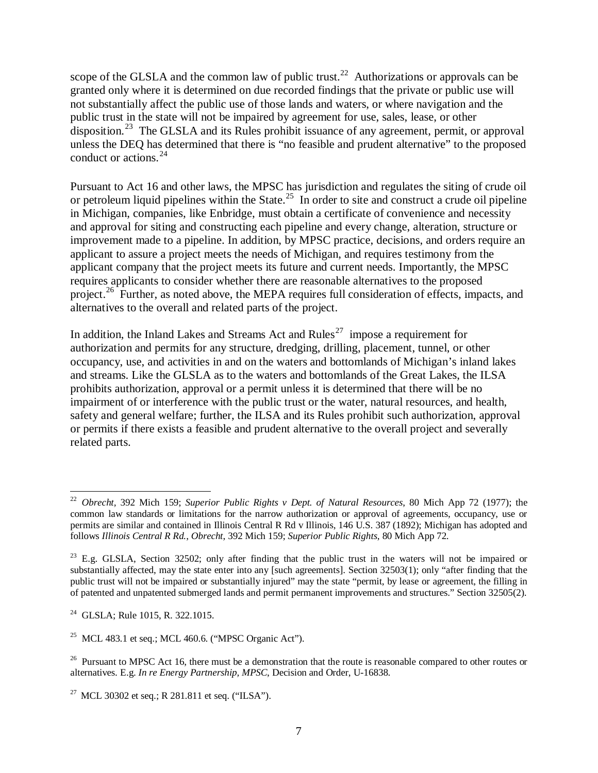scope of the GLSLA and the common law of public trust.<sup>[22](#page-6-0)</sup> Authorizations or approvals can be granted only where it is determined on due recorded findings that the private or public use will not substantially affect the public use of those lands and waters, or where navigation and the public trust in the state will not be impaired by agreement for use, sales, lease, or other disposition.<sup>[23](#page-6-1)</sup> The GLSLA and its Rules prohibit issuance of any agreement, permit, or approval unless the DEQ has determined that there is "no feasible and prudent alternative" to the proposed conduct or actions.[24](#page-6-2)

Pursuant to Act 16 and other laws, the MPSC has jurisdiction and regulates the siting of crude oil or petroleum liquid pipelines within the State.<sup>[25](#page-6-3)</sup> In order to site and construct a crude oil pipeline in Michigan, companies, like Enbridge, must obtain a certificate of convenience and necessity and approval for siting and constructing each pipeline and every change, alteration, structure or improvement made to a pipeline. In addition, by MPSC practice, decisions, and orders require an applicant to assure a project meets the needs of Michigan, and requires testimony from the applicant company that the project meets its future and current needs. Importantly, the MPSC requires applicants to consider whether there are reasonable alternatives to the proposed project.<sup>[26](#page-6-4)</sup> Further, as noted above, the MEPA requires full consideration of effects, impacts, and alternatives to the overall and related parts of the project.

In addition, the Inland Lakes and Streams Act and Rules<sup>[27](#page-6-5)</sup> impose a requirement for authorization and permits for any structure, dredging, drilling, placement, tunnel, or other occupancy, use, and activities in and on the waters and bottomlands of Michigan's inland lakes and streams. Like the GLSLA as to the waters and bottomlands of the Great Lakes, the ILSA prohibits authorization, approval or a permit unless it is determined that there will be no impairment of or interference with the public trust or the water, natural resources, and health, safety and general welfare; further, the ILSA and its Rules prohibit such authorization, approval or permits if there exists a feasible and prudent alternative to the overall project and severally related parts.

<span id="page-6-0"></span> <sup>22</sup> *Obrecht,* 392 Mich 159; *Superior Public Rights v Dept. of Natural Resources*, 80 Mich App 72 (1977); the common law standards or limitations for the narrow authorization or approval of agreements, occupancy, use or permits are similar and contained in Illinois Central R Rd v Illinois, 146 U.S. 387 (1892); Michigan has adopted and follows *Illinois Central R Rd.*, *Obrecht*, 392 Mich 159; *Superior Public Rights*, 80 Mich App 72.

<span id="page-6-1"></span> $^{23}$  E.g. GLSLA, Section 32502; only after finding that the public trust in the waters will not be impaired or substantially affected, may the state enter into any [such agreements]. Section 32503(1); only "after finding that the public trust will not be impaired or substantially injured" may the state "permit, by lease or agreement, the filling in of patented and unpatented submerged lands and permit permanent improvements and structures." Section 32505(2).

<span id="page-6-2"></span><sup>24</sup> GLSLA; Rule 1015, R. 322.1015.

<span id="page-6-3"></span><sup>&</sup>lt;sup>25</sup> MCL 483.1 et seq.; MCL 460.6. ("MPSC Organic Act").

<span id="page-6-4"></span><sup>&</sup>lt;sup>26</sup> Pursuant to MPSC Act 16, there must be a demonstration that the route is reasonable compared to other routes or alternatives. E.g. *In re Energy Partnership, MPSC*, Decision and Order, U-16838.

<span id="page-6-5"></span><sup>&</sup>lt;sup>27</sup> MCL 30302 et seq.; R 281.811 et seq. ("ILSA").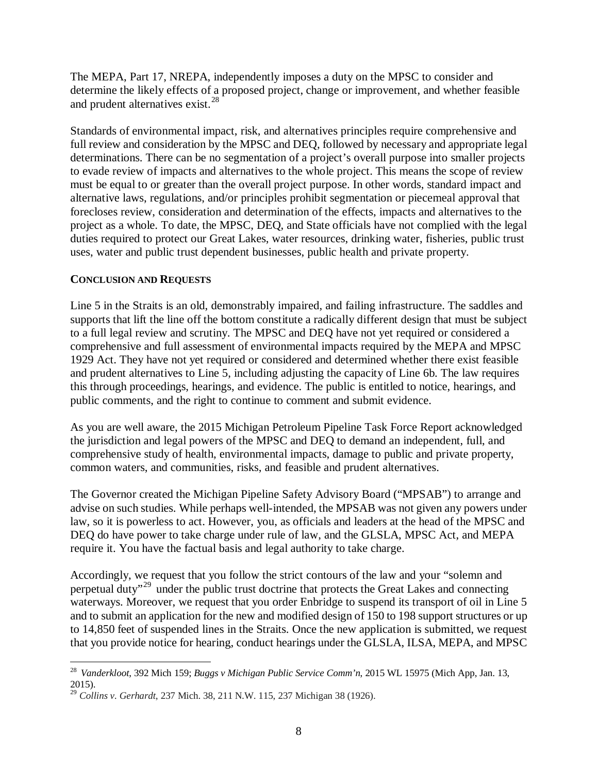The MEPA, Part 17, NREPA, independently imposes a duty on the MPSC to consider and determine the likely effects of a proposed project, change or improvement, and whether feasible and prudent alternatives exist.<sup>[28](#page-7-0)</sup>

Standards of environmental impact, risk, and alternatives principles require comprehensive and full review and consideration by the MPSC and DEQ, followed by necessary and appropriate legal determinations. There can be no segmentation of a project's overall purpose into smaller projects to evade review of impacts and alternatives to the whole project. This means the scope of review must be equal to or greater than the overall project purpose. In other words, standard impact and alternative laws, regulations, and/or principles prohibit segmentation or piecemeal approval that forecloses review, consideration and determination of the effects, impacts and alternatives to the project as a whole. To date, the MPSC, DEQ, and State officials have not complied with the legal duties required to protect our Great Lakes, water resources, drinking water, fisheries, public trust uses, water and public trust dependent businesses, public health and private property.

## **CONCLUSION AND REQUESTS**

Line 5 in the Straits is an old, demonstrably impaired, and failing infrastructure. The saddles and supports that lift the line off the bottom constitute a radically different design that must be subject to a full legal review and scrutiny. The MPSC and DEQ have not yet required or considered a comprehensive and full assessment of environmental impacts required by the MEPA and MPSC 1929 Act. They have not yet required or considered and determined whether there exist feasible and prudent alternatives to Line 5, including adjusting the capacity of Line 6b. The law requires this through proceedings, hearings, and evidence. The public is entitled to notice, hearings, and public comments, and the right to continue to comment and submit evidence.

As you are well aware, the 2015 Michigan Petroleum Pipeline Task Force Report acknowledged the jurisdiction and legal powers of the MPSC and DEQ to demand an independent, full, and comprehensive study of health, environmental impacts, damage to public and private property, common waters, and communities, risks, and feasible and prudent alternatives.

The Governor created the Michigan Pipeline Safety Advisory Board ("MPSAB") to arrange and advise on such studies. While perhaps well-intended, the MPSAB was not given any powers under law, so it is powerless to act. However, you, as officials and leaders at the head of the MPSC and DEQ do have power to take charge under rule of law, and the GLSLA, MPSC Act, and MEPA require it. You have the factual basis and legal authority to take charge.

Accordingly, we request that you follow the strict contours of the law and your "solemn and perpetual duty"[29](#page-7-1) under the public trust doctrine that protects the Great Lakes and connecting waterways. Moreover, we request that you order Enbridge to suspend its transport of oil in Line 5 and to submit an application for the new and modified design of 150 to 198 support structures or up to 14,850 feet of suspended lines in the Straits. Once the new application is submitted, we request that you provide notice for hearing, conduct hearings under the GLSLA, ILSA, MEPA, and MPSC

<span id="page-7-0"></span> <sup>28</sup> *Vanderkloot*, 392 Mich 159; *Buggs v Michigan Public Service Comm'n*, 2015 WL 15975 (Mich App, Jan. 13, 2015).

<span id="page-7-1"></span><sup>29</sup> *Collins v. Gerhardt*, 237 Mich. 38, 211 N.W. 115, 237 Michigan 38 (1926).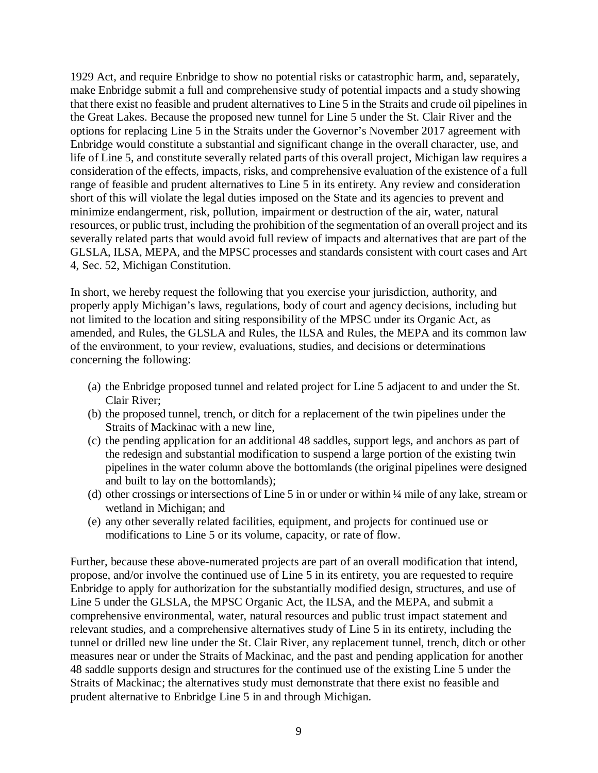1929 Act, and require Enbridge to show no potential risks or catastrophic harm, and, separately, make Enbridge submit a full and comprehensive study of potential impacts and a study showing that there exist no feasible and prudent alternatives to Line 5 in the Straits and crude oil pipelines in the Great Lakes. Because the proposed new tunnel for Line 5 under the St. Clair River and the options for replacing Line 5 in the Straits under the Governor's November 2017 agreement with Enbridge would constitute a substantial and significant change in the overall character, use, and life of Line 5, and constitute severally related parts of this overall project, Michigan law requires a consideration of the effects, impacts, risks, and comprehensive evaluation of the existence of a full range of feasible and prudent alternatives to Line 5 in its entirety. Any review and consideration short of this will violate the legal duties imposed on the State and its agencies to prevent and minimize endangerment, risk, pollution, impairment or destruction of the air, water, natural resources, or public trust, including the prohibition of the segmentation of an overall project and its severally related parts that would avoid full review of impacts and alternatives that are part of the GLSLA, ILSA, MEPA, and the MPSC processes and standards consistent with court cases and Art 4, Sec. 52, Michigan Constitution.

In short, we hereby request the following that you exercise your jurisdiction, authority, and properly apply Michigan's laws, regulations, body of court and agency decisions, including but not limited to the location and siting responsibility of the MPSC under its Organic Act, as amended, and Rules, the GLSLA and Rules, the ILSA and Rules, the MEPA and its common law of the environment, to your review, evaluations, studies, and decisions or determinations concerning the following:

- (a) the Enbridge proposed tunnel and related project for Line 5 adjacent to and under the St. Clair River;
- (b) the proposed tunnel, trench, or ditch for a replacement of the twin pipelines under the Straits of Mackinac with a new line,
- (c) the pending application for an additional 48 saddles, support legs, and anchors as part of the redesign and substantial modification to suspend a large portion of the existing twin pipelines in the water column above the bottomlands (the original pipelines were designed and built to lay on the bottomlands);
- (d) other crossings or intersections of Line 5 in or under or within ¼ mile of any lake, stream or wetland in Michigan; and
- (e) any other severally related facilities, equipment, and projects for continued use or modifications to Line 5 or its volume, capacity, or rate of flow.

Further, because these above-numerated projects are part of an overall modification that intend, propose, and/or involve the continued use of Line 5 in its entirety, you are requested to require Enbridge to apply for authorization for the substantially modified design, structures, and use of Line 5 under the GLSLA, the MPSC Organic Act, the ILSA, and the MEPA, and submit a comprehensive environmental, water, natural resources and public trust impact statement and relevant studies, and a comprehensive alternatives study of Line 5 in its entirety, including the tunnel or drilled new line under the St. Clair River, any replacement tunnel, trench, ditch or other measures near or under the Straits of Mackinac, and the past and pending application for another 48 saddle supports design and structures for the continued use of the existing Line 5 under the Straits of Mackinac; the alternatives study must demonstrate that there exist no feasible and prudent alternative to Enbridge Line 5 in and through Michigan.